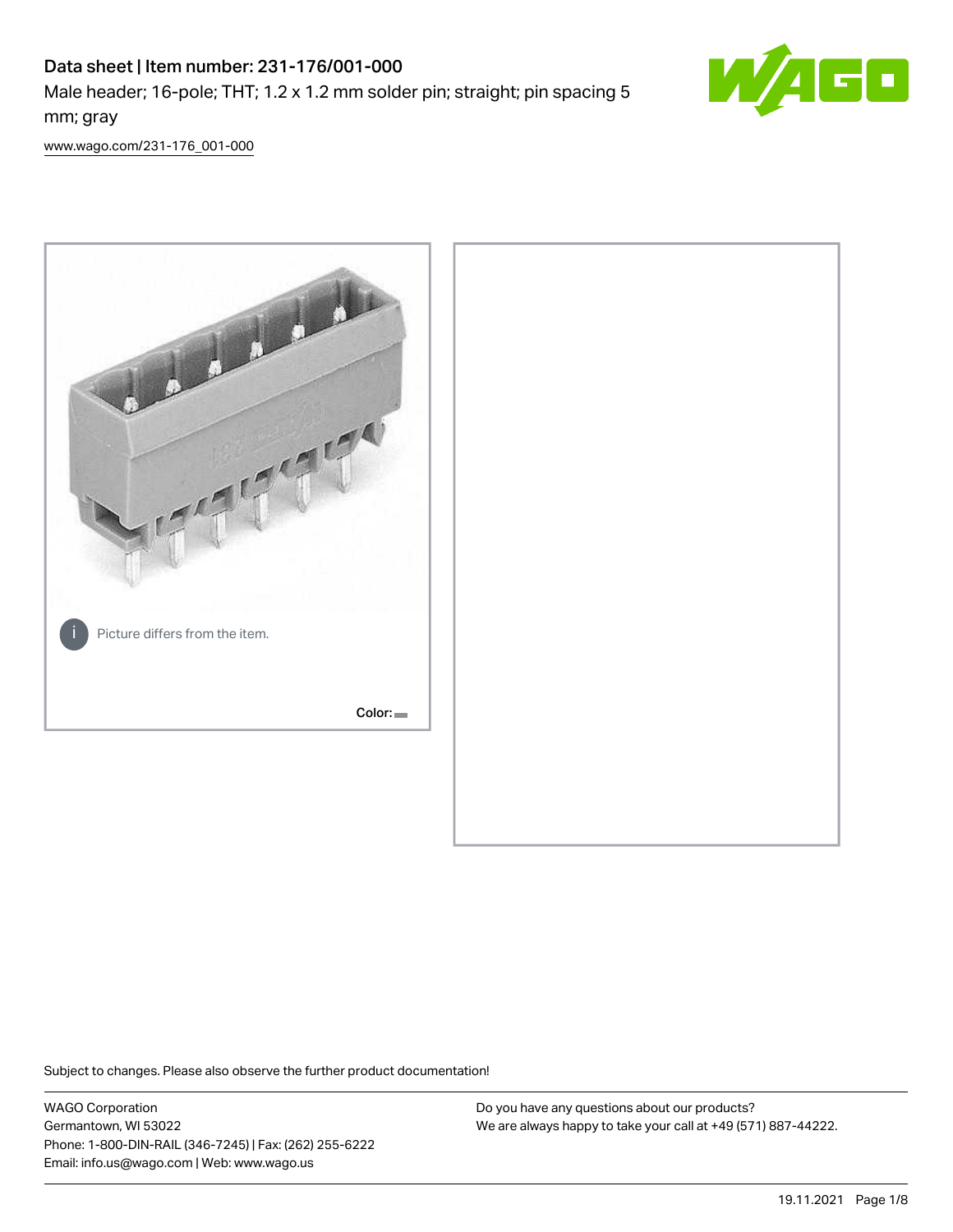# Data sheet | Item number: 231-176/001-000 Male header; 16-pole; THT; 1.2 x 1.2 mm solder pin; straight; pin spacing 5 mm; gray



[www.wago.com/231-176\\_001-000](http://www.wago.com/231-176_001-000)



Subject to changes. Please also observe the further product documentation!

WAGO Corporation Germantown, WI 53022 Phone: 1-800-DIN-RAIL (346-7245) | Fax: (262) 255-6222 Email: info.us@wago.com | Web: www.wago.us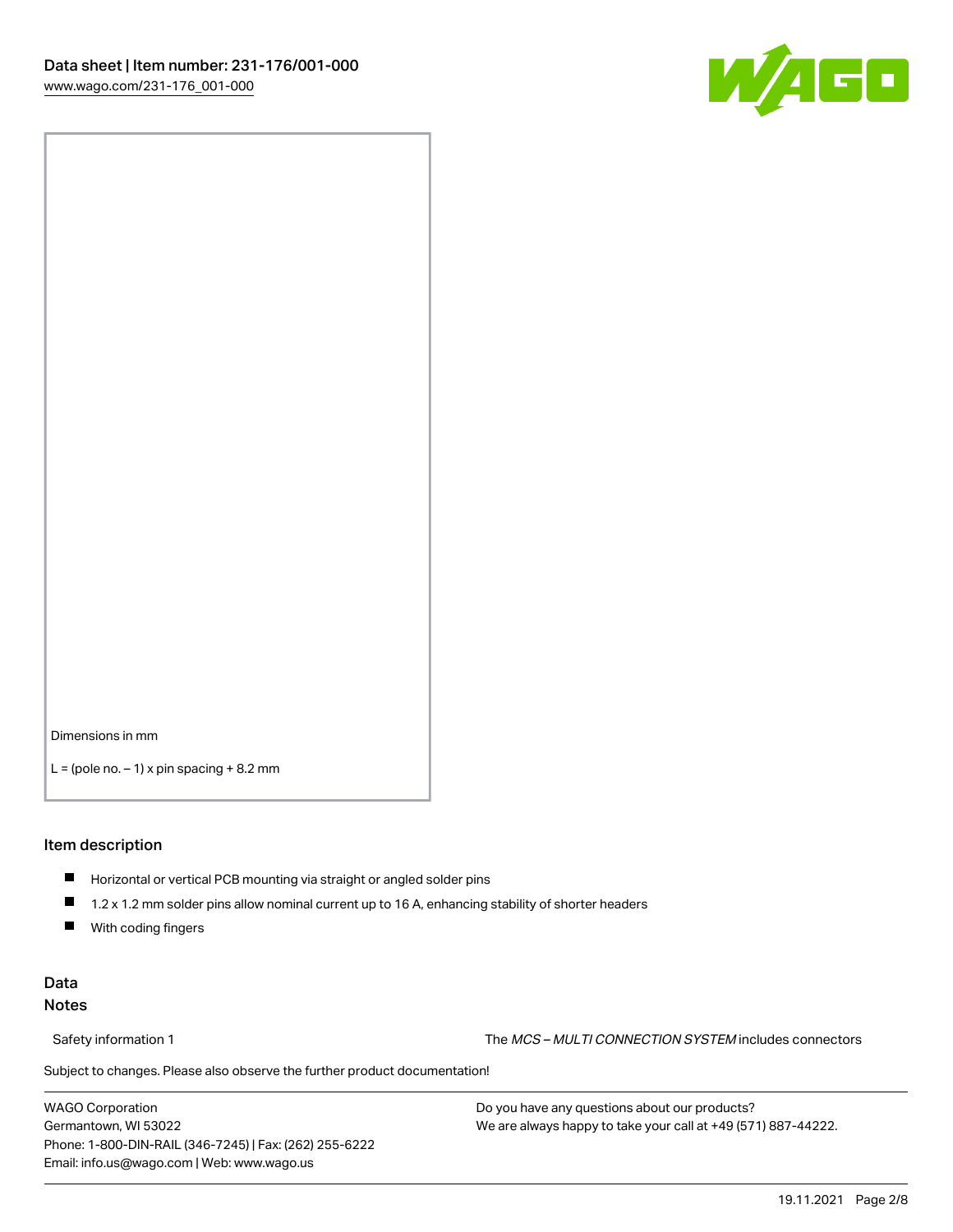

Dimensions in mm

 $L =$  (pole no.  $-1$ ) x pin spacing  $+8.2$  mm

#### Item description

- **Horizontal or vertical PCB mounting via straight or angled solder pins**
- 1.2 x 1.2 mm solder pins allow nominal current up to 16 A, enhancing stability of shorter headers
- $\blacksquare$ With coding fingers

#### Data Notes

Safety information 1 The MCS – MULTI CONNECTION SYSTEM includes connectors

Subject to changes. Please also observe the further product documentation!  $\nu$ 

WAGO Corporation Germantown, WI 53022 Phone: 1-800-DIN-RAIL (346-7245) | Fax: (262) 255-6222 Email: info.us@wago.com | Web: www.wago.us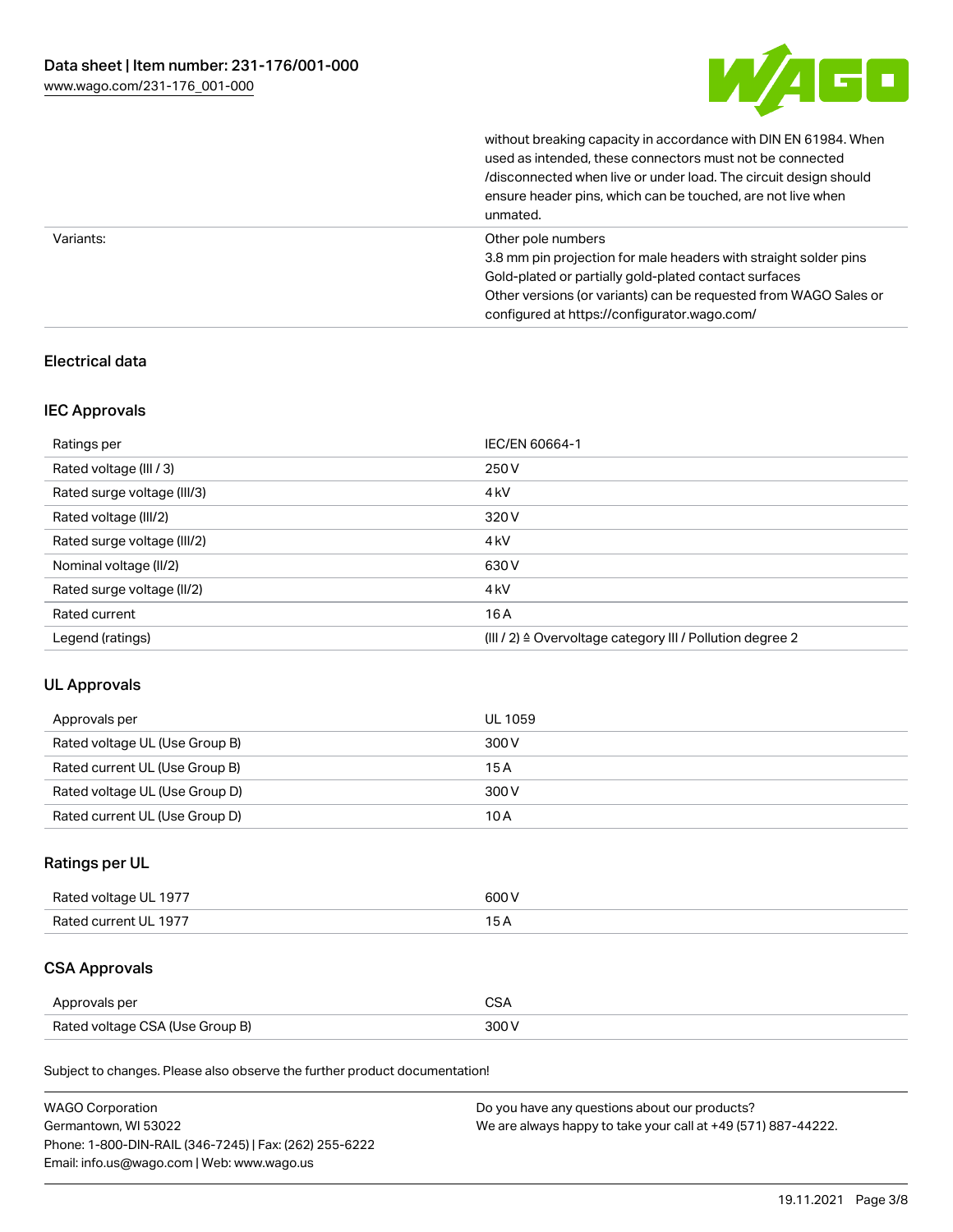

without breaking capacity in accordance with DIN EN 61984. When

|           | used as intended, these connectors must not be connected<br>/disconnected when live or under load. The circuit design should<br>ensure header pins, which can be touched, are not live when<br>unmated.                                                             |
|-----------|---------------------------------------------------------------------------------------------------------------------------------------------------------------------------------------------------------------------------------------------------------------------|
| Variants: | Other pole numbers<br>3.8 mm pin projection for male headers with straight solder pins<br>Gold-plated or partially gold-plated contact surfaces<br>Other versions (or variants) can be requested from WAGO Sales or<br>configured at https://configurator.wago.com/ |

## Electrical data

#### IEC Approvals

| Ratings per                 | IEC/EN 60664-1                                                        |
|-----------------------------|-----------------------------------------------------------------------|
| Rated voltage (III / 3)     | 250 V                                                                 |
| Rated surge voltage (III/3) | 4 <sub>kV</sub>                                                       |
| Rated voltage (III/2)       | 320 V                                                                 |
| Rated surge voltage (III/2) | 4 <sub>k</sub> V                                                      |
| Nominal voltage (II/2)      | 630 V                                                                 |
| Rated surge voltage (II/2)  | 4 <sub>k</sub> V                                                      |
| Rated current               | 16A                                                                   |
| Legend (ratings)            | $(III / 2)$ $\triangle$ Overvoltage category III / Pollution degree 2 |

#### UL Approvals

| Approvals per                  | UL 1059 |
|--------------------------------|---------|
| Rated voltage UL (Use Group B) | 300 V   |
| Rated current UL (Use Group B) | 15 A    |
| Rated voltage UL (Use Group D) | 300 V   |
| Rated current UL (Use Group D) | 10 A    |

## Ratings per UL

| Rated voltage UL 1977 | 600 V |
|-----------------------|-------|
| Rated current UL 1977 |       |

## CSA Approvals

| Approvals per                   |  |
|---------------------------------|--|
| Rated voltage CSA (Use Group B) |  |

Subject to changes. Please also observe the further product documentation!

| <b>WAGO Corporation</b>                                | Do you have any questions about our products?                 |
|--------------------------------------------------------|---------------------------------------------------------------|
| Germantown, WI 53022                                   | We are always happy to take your call at +49 (571) 887-44222. |
| Phone: 1-800-DIN-RAIL (346-7245)   Fax: (262) 255-6222 |                                                               |
| Email: info.us@wago.com   Web: www.wago.us             |                                                               |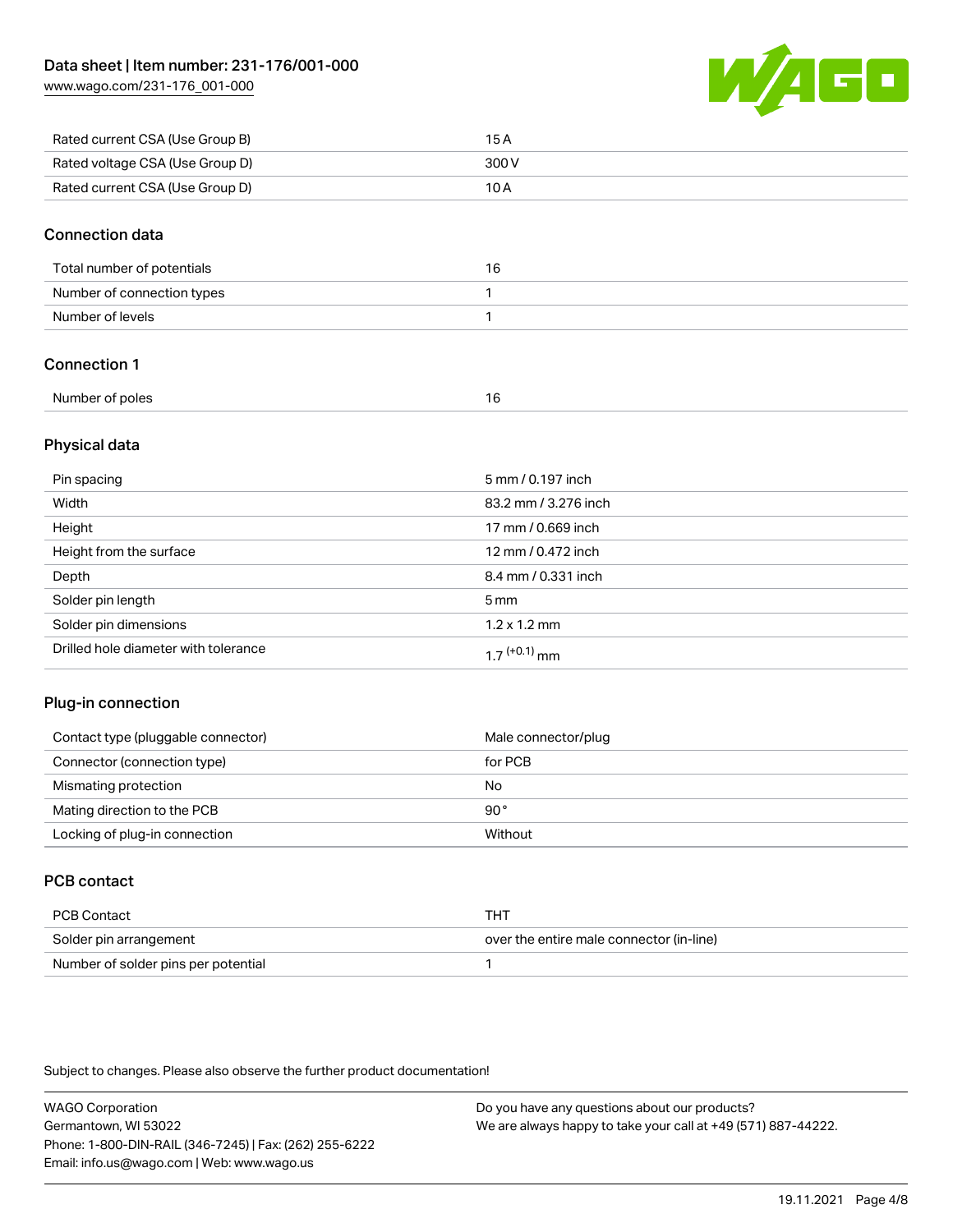[www.wago.com/231-176\\_001-000](http://www.wago.com/231-176_001-000)



| Rated current CSA (Use Group B) | 15 A  |
|---------------------------------|-------|
| Rated voltage CSA (Use Group D) | 300 V |
| Rated current CSA (Use Group D) | 10 A  |

#### Connection data

| Total number of potentials | 16 |
|----------------------------|----|
| Number of connection types |    |
| Number of levels           |    |

## Connection 1

| Number of poles |  |
|-----------------|--|
|                 |  |

#### Physical data

| Pin spacing                          | 5 mm / 0.197 inch    |
|--------------------------------------|----------------------|
| Width                                | 83.2 mm / 3.276 inch |
| Height                               | 17 mm / 0.669 inch   |
| Height from the surface              | 12 mm / 0.472 inch   |
| Depth                                | 8.4 mm / 0.331 inch  |
| Solder pin length                    | 5 <sub>mm</sub>      |
| Solder pin dimensions                | $1.2 \times 1.2$ mm  |
| Drilled hole diameter with tolerance | $17^{(+0.1)}$ mm     |

#### Plug-in connection

| Contact type (pluggable connector) | Male connector/plug |
|------------------------------------|---------------------|
| Connector (connection type)        | for PCB             |
| Mismating protection               | No                  |
| Mating direction to the PCB        | 90°                 |
| Locking of plug-in connection      | Without             |

## PCB contact

| PCB Contact                         | THT                                      |
|-------------------------------------|------------------------------------------|
| Solder pin arrangement              | over the entire male connector (in-line) |
| Number of solder pins per potential |                                          |

Subject to changes. Please also observe the further product documentation!

WAGO Corporation Germantown, WI 53022 Phone: 1-800-DIN-RAIL (346-7245) | Fax: (262) 255-6222 Email: info.us@wago.com | Web: www.wago.us Do you have any questions about our products? We are always happy to take your call at +49 (571) 887-44222.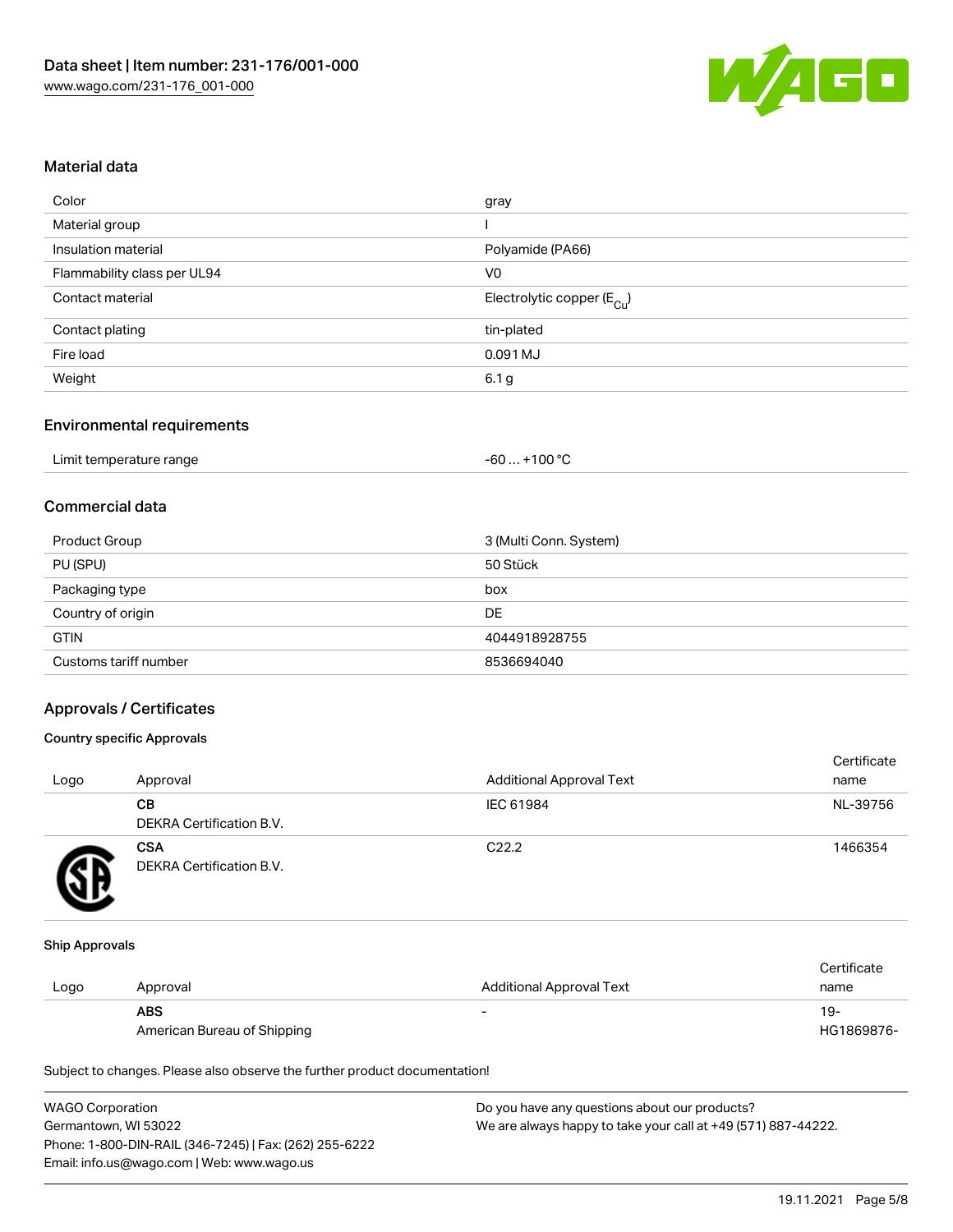

#### Material data

| gray                                   |
|----------------------------------------|
|                                        |
| Polyamide (PA66)                       |
| V <sub>0</sub>                         |
| Electrolytic copper (E <sub>Cu</sub> ) |
| tin-plated                             |
| 0.091 MJ                               |
| 6.1 g                                  |
|                                        |

#### Environmental requirements

| Limit temperature range | $+100 °C$<br>-60 |
|-------------------------|------------------|
|-------------------------|------------------|

## Commercial data

| Product Group         | 3 (Multi Conn. System) |
|-----------------------|------------------------|
| PU (SPU)              | 50 Stück               |
| Packaging type        | box                    |
| Country of origin     | DE                     |
| <b>GTIN</b>           | 4044918928755          |
| Customs tariff number | 8536694040             |

#### Approvals / Certificates

#### Country specific Approvals

| Logo | Approval                               | <b>Additional Approval Text</b> | Certificate<br>name |
|------|----------------------------------------|---------------------------------|---------------------|
|      | CВ<br>DEKRA Certification B.V.         | IEC 61984                       | NL-39756            |
|      | <b>CSA</b><br>DEKRA Certification B.V. | C <sub>22.2</sub>               | 1466354             |

#### Ship Approvals

|      |                             |                                 | Certificate |
|------|-----------------------------|---------------------------------|-------------|
| Logo | Approval                    | <b>Additional Approval Text</b> | name        |
|      | <b>ABS</b>                  | $\overline{\phantom{0}}$        | -19         |
|      | American Bureau of Shipping |                                 | HG1869876-  |

Subject to changes. Please also observe the further product documentation!

| <b>WAGO Corporation</b>                                | Do you have any questions about our products?                 |
|--------------------------------------------------------|---------------------------------------------------------------|
| Germantown, WI 53022                                   | We are always happy to take your call at +49 (571) 887-44222. |
| Phone: 1-800-DIN-RAIL (346-7245)   Fax: (262) 255-6222 |                                                               |
| Email: info.us@wago.com   Web: www.wago.us             |                                                               |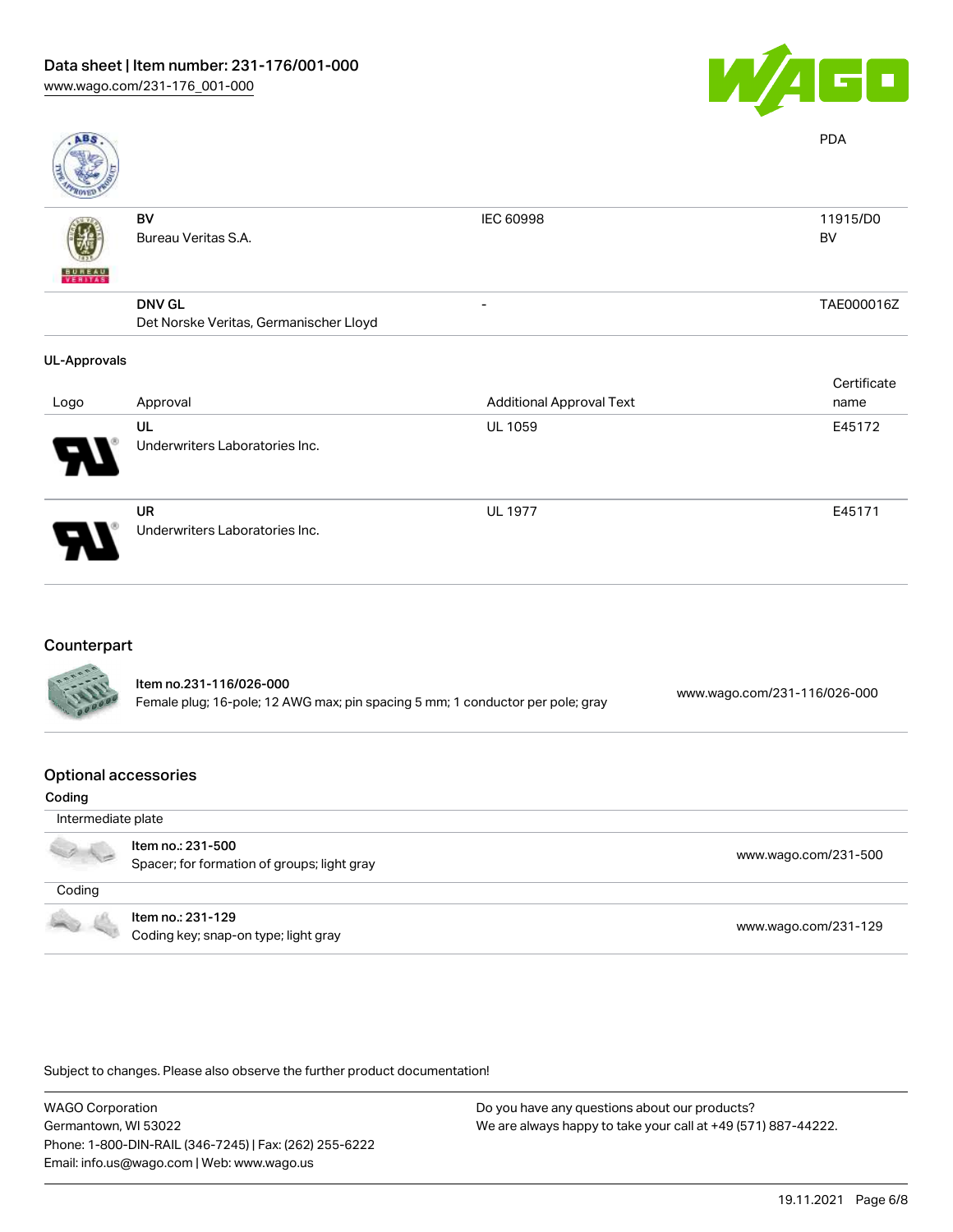

| <b>ABS</b>          |                                                         |                                 | <b>PDA</b>            |
|---------------------|---------------------------------------------------------|---------------------------------|-----------------------|
| <b>BUNEAU</b>       | BV<br>Bureau Veritas S.A.                               | IEC 60998                       | 11915/D0<br><b>BV</b> |
|                     | <b>DNV GL</b><br>Det Norske Veritas, Germanischer Lloyd |                                 | TAE000016Z            |
| <b>UL-Approvals</b> |                                                         |                                 |                       |
|                     | Approval                                                | <b>Additional Approval Text</b> | Certificate           |
| Logo                | UL<br>Underwriters Laboratories Inc.                    | <b>UL 1059</b>                  | name<br>E45172        |
|                     | UR<br>Underwriters Laboratories Inc.                    | <b>UL 1977</b>                  | E45171                |

#### Counterpart

| <b>SALLES</b> | Item no.231-116/026-000<br>Female plug; 16-pole; 12 AWG max; pin spacing 5 mm; 1 conductor per pole; gray | www.wago.com/231-116/026-000 |
|---------------|-----------------------------------------------------------------------------------------------------------|------------------------------|
|               |                                                                                                           |                              |

#### Optional accessories

| Coding             |                                                                  |                      |
|--------------------|------------------------------------------------------------------|----------------------|
| Intermediate plate |                                                                  |                      |
|                    | Item no.: 231-500<br>Spacer; for formation of groups; light gray | www.wago.com/231-500 |
| Coding             |                                                                  |                      |
|                    | Item no.: 231-129<br>Coding key; snap-on type; light gray        | www.wago.com/231-129 |

Subject to changes. Please also observe the further product documentation!

WAGO Corporation Germantown, WI 53022 Phone: 1-800-DIN-RAIL (346-7245) | Fax: (262) 255-6222 Email: info.us@wago.com | Web: www.wago.us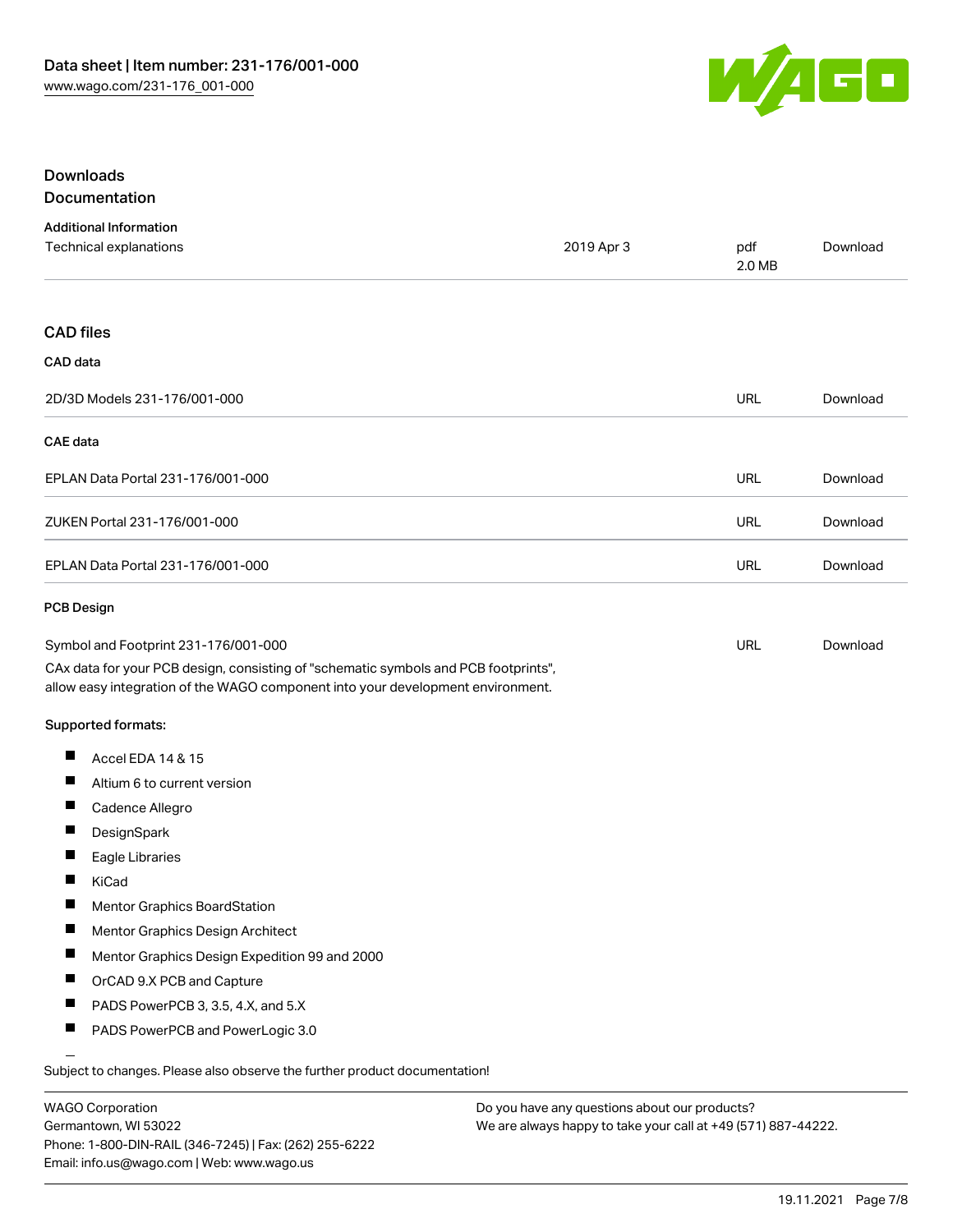

#### Downloads Documentation

|  |  | <u>,,,,,,,,,,,,,,,,,,,,,,,</u> |  |
|--|--|--------------------------------|--|
|  |  |                                |  |
|  |  |                                |  |
|  |  |                                |  |

| <b>Additional Information</b><br>Technical explanations                                                                                                                | 2019 Apr 3 | pdf<br>2.0 MB | Download |
|------------------------------------------------------------------------------------------------------------------------------------------------------------------------|------------|---------------|----------|
| <b>CAD files</b>                                                                                                                                                       |            |               |          |
| CAD data                                                                                                                                                               |            |               |          |
| 2D/3D Models 231-176/001-000                                                                                                                                           |            | URL           | Download |
| <b>CAE</b> data                                                                                                                                                        |            |               |          |
| EPLAN Data Portal 231-176/001-000                                                                                                                                      |            | URL           | Download |
| ZUKEN Portal 231-176/001-000                                                                                                                                           |            | <b>URL</b>    | Download |
| EPLAN Data Portal 231-176/001-000                                                                                                                                      |            | URL           | Download |
| <b>PCB Design</b>                                                                                                                                                      |            |               |          |
| Symbol and Footprint 231-176/001-000                                                                                                                                   |            | URL           | Download |
| CAx data for your PCB design, consisting of "schematic symbols and PCB footprints",<br>allow easy integration of the WAGO component into your development environment. |            |               |          |
| <b>Supported formats:</b>                                                                                                                                              |            |               |          |
| Ш<br>Accel EDA 14 & 15                                                                                                                                                 |            |               |          |
| Ш<br>Altium 6 to current version                                                                                                                                       |            |               |          |
| Ш<br>Cadence Allegro                                                                                                                                                   |            |               |          |
| ш<br>DesignSpark                                                                                                                                                       |            |               |          |
| П<br>Eagle Libraries                                                                                                                                                   |            |               |          |
| ш<br>KiCad                                                                                                                                                             |            |               |          |
| Mentor Graphics BoardStation                                                                                                                                           |            |               |          |
| ш<br>Mentor Graphics Design Architect                                                                                                                                  |            |               |          |
| Mentor Graphics Design Expedition 99 and 2000<br>a ka                                                                                                                  |            |               |          |
| Ш<br>OrCAD 9.X PCB and Capture                                                                                                                                         |            |               |          |
| ш<br>PADS PowerPCB 3, 3.5, 4.X, and 5.X                                                                                                                                |            |               |          |
| ш<br>PADS PowerPCB and PowerLogic 3.0                                                                                                                                  |            |               |          |
| Subject to changes. Please also observe the further product documentation!                                                                                             |            |               |          |